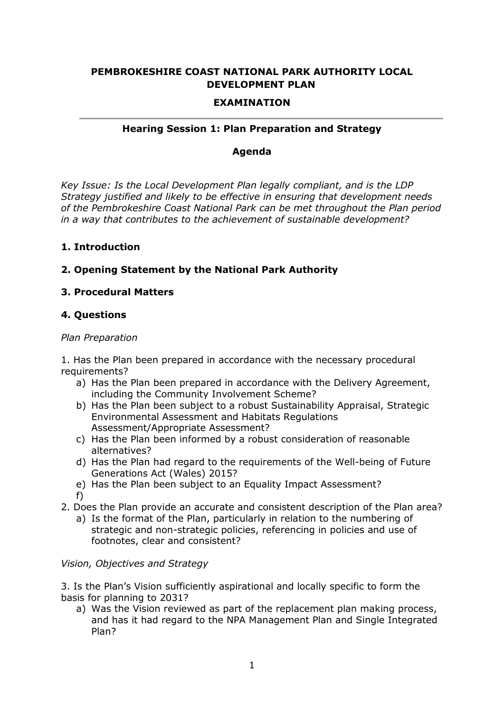## **PEMBROKESHIRE COAST NATIONAL PARK AUTHORITY LOCAL DEVELOPMENT PLAN**

### **EXAMINATION**

### **Hearing Session 1: Plan Preparation and Strategy**

### **Agenda**

*Key Issue: Is the Local Development Plan legally compliant, and is the LDP Strategy justified and likely to be effective in ensuring that development needs of the Pembrokeshire Coast National Park can be met throughout the Plan period in a way that contributes to the achievement of sustainable development?*

### **1. Introduction**

# **2. Opening Statement by the National Park Authority**

## **3. Procedural Matters**

### **4. Questions**

### *Plan Preparation*

1. Has the Plan been prepared in accordance with the necessary procedural requirements?

- a) Has the Plan been prepared in accordance with the Delivery Agreement, including the Community Involvement Scheme?
- b) Has the Plan been subject to a robust Sustainability Appraisal, Strategic Environmental Assessment and Habitats Regulations Assessment/Appropriate Assessment?
- c) Has the Plan been informed by a robust consideration of reasonable alternatives?
- d) Has the Plan had regard to the requirements of the Well-being of Future Generations Act (Wales) 2015?
- e) Has the Plan been subject to an Equality Impact Assessment? f)
- 2. Does the Plan provide an accurate and consistent description of the Plan area?
	- a) Is the format of the Plan, particularly in relation to the numbering of strategic and non-strategic policies, referencing in policies and use of footnotes, clear and consistent?

### *Vision, Objectives and Strategy*

3. Is the Plan's Vision sufficiently aspirational and locally specific to form the basis for planning to 2031?

a) Was the Vision reviewed as part of the replacement plan making process, and has it had regard to the NPA Management Plan and Single Integrated Plan?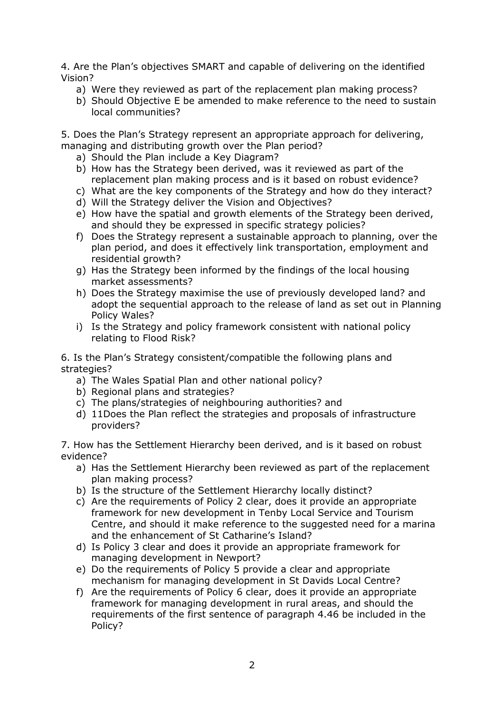4. Are the Plan's objectives SMART and capable of delivering on the identified Vision?

- a) Were they reviewed as part of the replacement plan making process?
- b) Should Objective E be amended to make reference to the need to sustain local communities?

5. Does the Plan's Strategy represent an appropriate approach for delivering, managing and distributing growth over the Plan period?

- a) Should the Plan include a Key Diagram?
- b) How has the Strategy been derived, was it reviewed as part of the replacement plan making process and is it based on robust evidence?
- c) What are the key components of the Strategy and how do they interact?
- d) Will the Strategy deliver the Vision and Objectives?
- e) How have the spatial and growth elements of the Strategy been derived, and should they be expressed in specific strategy policies?
- f) Does the Strategy represent a sustainable approach to planning, over the plan period, and does it effectively link transportation, employment and residential growth?
- g) Has the Strategy been informed by the findings of the local housing market assessments?
- h) Does the Strategy maximise the use of previously developed land? and adopt the sequential approach to the release of land as set out in Planning Policy Wales?
- i) Is the Strategy and policy framework consistent with national policy relating to Flood Risk?

6. Is the Plan's Strategy consistent/compatible the following plans and strategies?

- a) The Wales Spatial Plan and other national policy?
- b) Regional plans and strategies?
- c) The plans/strategies of neighbouring authorities? and
- d) 11Does the Plan reflect the strategies and proposals of infrastructure providers?

7. How has the Settlement Hierarchy been derived, and is it based on robust evidence?

- a) Has the Settlement Hierarchy been reviewed as part of the replacement plan making process?
- b) Is the structure of the Settlement Hierarchy locally distinct?
- c) Are the requirements of Policy 2 clear, does it provide an appropriate framework for new development in Tenby Local Service and Tourism Centre, and should it make reference to the suggested need for a marina and the enhancement of St Catharine's Island?
- d) Is Policy 3 clear and does it provide an appropriate framework for managing development in Newport?
- e) Do the requirements of Policy 5 provide a clear and appropriate mechanism for managing development in St Davids Local Centre?
- f) Are the requirements of Policy 6 clear, does it provide an appropriate framework for managing development in rural areas, and should the requirements of the first sentence of paragraph 4.46 be included in the Policy?